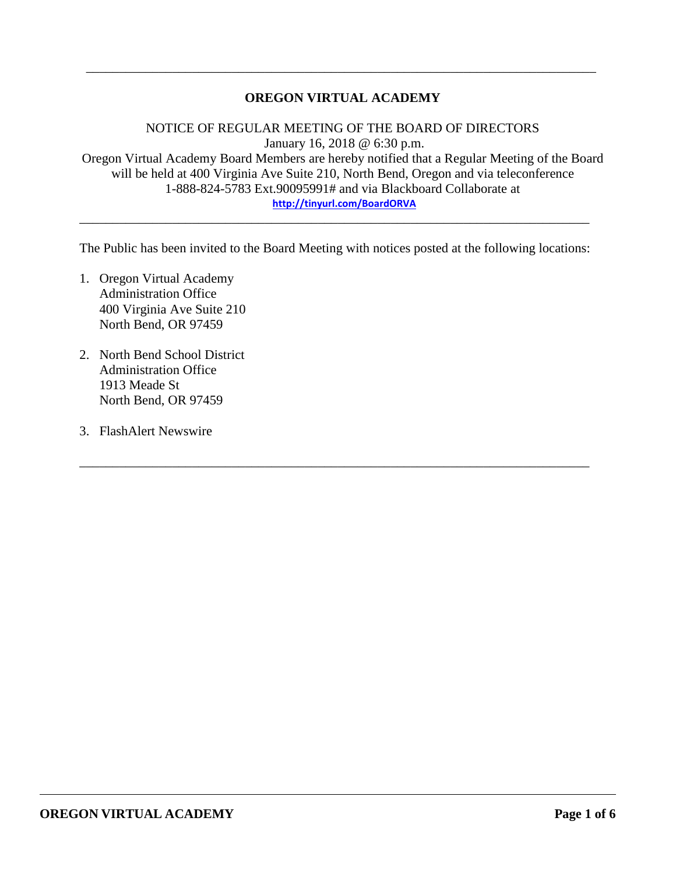# **OREGON VIRTUAL ACADEMY**

\_\_\_\_\_\_\_\_\_\_\_\_\_\_\_\_\_\_\_\_\_\_\_\_\_\_\_\_\_\_\_\_\_\_\_\_\_\_\_\_\_\_\_\_\_\_\_\_\_\_\_\_\_\_\_\_\_\_\_\_\_\_\_\_\_\_\_\_\_\_\_\_\_\_\_\_\_

NOTICE OF REGULAR MEETING OF THE BOARD OF DIRECTORS January 16, 2018 @ 6:30 p.m. Oregon Virtual Academy Board Members are hereby notified that a Regular Meeting of the Board will be held at 400 Virginia Ave Suite 210, North Bend, Oregon and via teleconference 1-888-824-5783 Ext.90095991# and via Blackboard Collaborate at **<http://tinyurl.com/BoardORVA>**

The Public has been invited to the Board Meeting with notices posted at the following locations:

\_\_\_\_\_\_\_\_\_\_\_\_\_\_\_\_\_\_\_\_\_\_\_\_\_\_\_\_\_\_\_\_\_\_\_\_\_\_\_\_\_\_\_\_\_\_\_\_\_\_\_\_\_\_\_\_\_\_\_\_\_\_\_\_\_\_\_\_\_\_\_\_\_\_\_\_\_

\_\_\_\_\_\_\_\_\_\_\_\_\_\_\_\_\_\_\_\_\_\_\_\_\_\_\_\_\_\_\_\_\_\_\_\_\_\_\_\_\_\_\_\_\_\_\_\_\_\_\_\_\_\_\_\_\_\_\_\_\_\_\_\_\_\_\_\_\_\_\_\_\_\_\_\_\_

- 1. Oregon Virtual Academy Administration Office 400 Virginia Ave Suite 210 North Bend, OR 97459
- 2. North Bend School District Administration Office 1913 Meade St North Bend, OR 97459
- 3. FlashAlert Newswire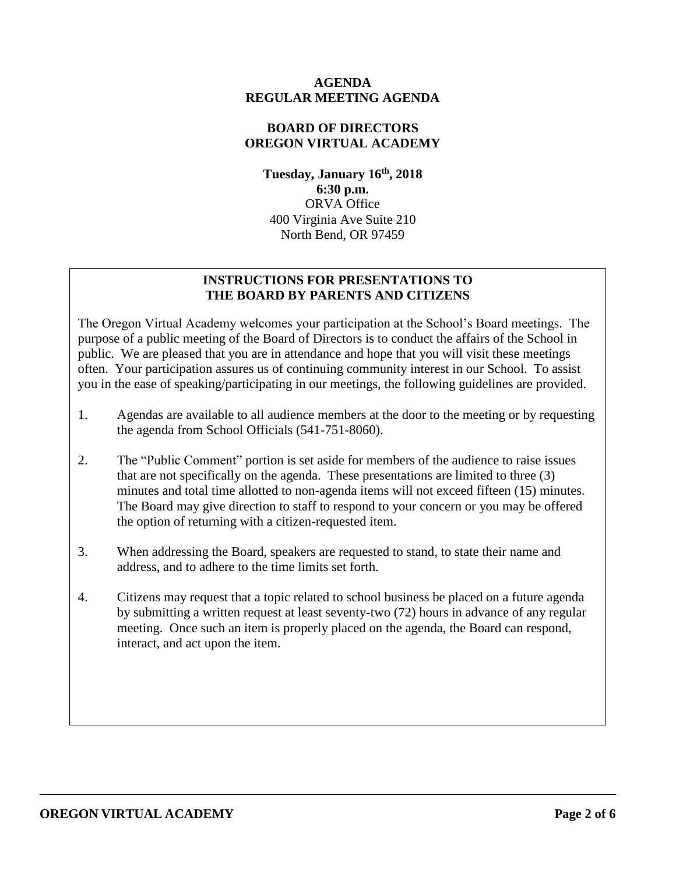### **AGENDA REGULAR MEETING AGENDA**

# **BOARD OF DIRECTORS OREGON VIRTUAL ACADEMY**

**Tuesday, January 16th , 2018 6:30 p.m.** ORVA Office 400 Virginia Ave Suite 210 North Bend, OR 97459

# **INSTRUCTIONS FOR PRESENTATIONS TO THE BOARD BY PARENTS AND CITIZENS**

The Oregon Virtual Academy welcomes your participation at the School's Board meetings. The purpose of a public meeting of the Board of Directors is to conduct the affairs of the School in public. We are pleased that you are in attendance and hope that you will visit these meetings often. Your participation assures us of continuing community interest in our School. To assist you in the ease of speaking/participating in our meetings, the following guidelines are provided.

- 1. Agendas are available to all audience members at the door to the meeting or by requesting the agenda from School Officials (541-751-8060).
- 2. The "Public Comment" portion is set aside for members of the audience to raise issues that are not specifically on the agenda. These presentations are limited to three (3) minutes and total time allotted to non-agenda items will not exceed fifteen (15) minutes. The Board may give direction to staff to respond to your concern or you may be offered the option of returning with a citizen-requested item.
- 3. When addressing the Board, speakers are requested to stand, to state their name and address, and to adhere to the time limits set forth.
- 4. Citizens may request that a topic related to school business be placed on a future agenda by submitting a written request at least seventy-two (72) hours in advance of any regular meeting. Once such an item is properly placed on the agenda, the Board can respond, interact, and act upon the item.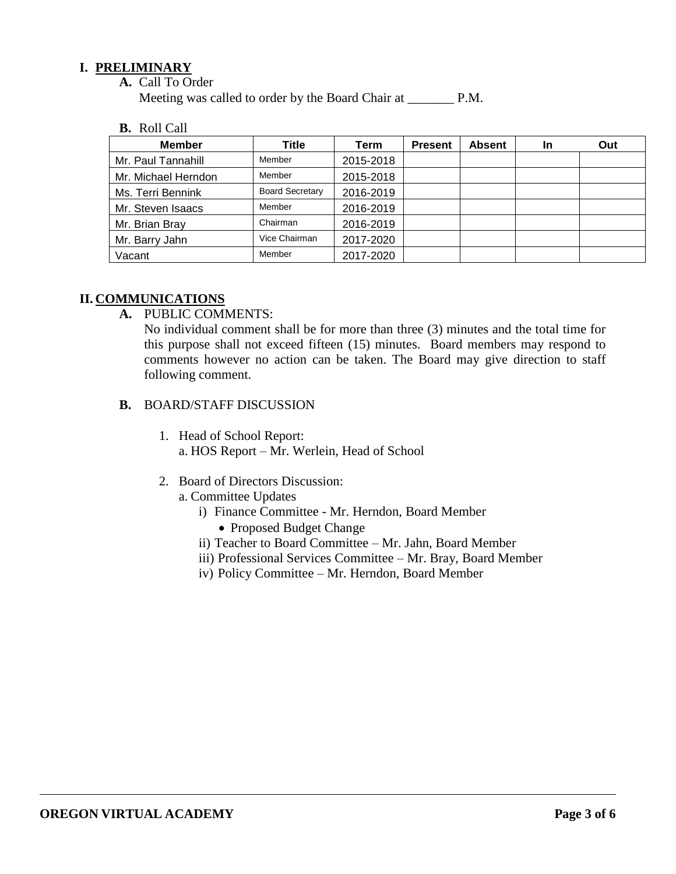### **I. PRELIMINARY**

**A.** Call To Order

Meeting was called to order by the Board Chair at P.M.

**B.** Roll Call

| <b>Member</b>       | Title                  | Term      | <b>Present</b> | <b>Absent</b> | <b>In</b> | Out |
|---------------------|------------------------|-----------|----------------|---------------|-----------|-----|
| Mr. Paul Tannahill  | Member                 | 2015-2018 |                |               |           |     |
| Mr. Michael Herndon | Member                 | 2015-2018 |                |               |           |     |
| Ms. Terri Bennink   | <b>Board Secretary</b> | 2016-2019 |                |               |           |     |
| Mr. Steven Isaacs   | Member                 | 2016-2019 |                |               |           |     |
| Mr. Brian Bray      | Chairman               | 2016-2019 |                |               |           |     |
| Mr. Barry Jahn      | Vice Chairman          | 2017-2020 |                |               |           |     |
| Vacant              | Member                 | 2017-2020 |                |               |           |     |

# **II. COMMUNICATIONS**

**A.** PUBLIC COMMENTS:

No individual comment shall be for more than three (3) minutes and the total time for this purpose shall not exceed fifteen (15) minutes. Board members may respond to comments however no action can be taken. The Board may give direction to staff following comment.

- **B.** BOARD/STAFF DISCUSSION
	- 1. Head of School Report: a. HOS Report – Mr. Werlein, Head of School
	- 2. Board of Directors Discussion:
		- a. Committee Updates
			- i) Finance Committee Mr. Herndon, Board Member
				- Proposed Budget Change
			- ii) Teacher to Board Committee Mr. Jahn, Board Member
			- iii) Professional Services Committee Mr. Bray, Board Member
			- iv) Policy Committee Mr. Herndon, Board Member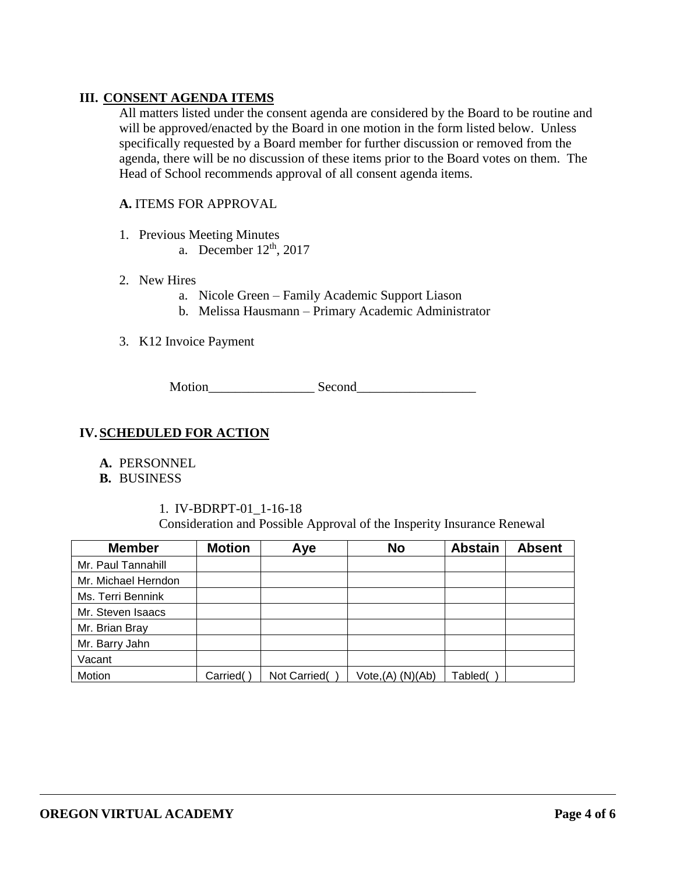# **III. CONSENT AGENDA ITEMS**

All matters listed under the consent agenda are considered by the Board to be routine and will be approved/enacted by the Board in one motion in the form listed below. Unless specifically requested by a Board member for further discussion or removed from the agenda, there will be no discussion of these items prior to the Board votes on them. The Head of School recommends approval of all consent agenda items.

### **A.** ITEMS FOR APPROVAL

- 1. Previous Meeting Minutes
	- a. December  $12<sup>th</sup>$ , 2017

#### 2. New Hires

- a. Nicole Green Family Academic Support Liason
- b. Melissa Hausmann Primary Academic Administrator
- 3. K12 Invoice Payment

Motion\_\_\_\_\_\_\_\_\_\_\_\_\_\_\_\_ Second\_\_\_\_\_\_\_\_\_\_\_\_\_\_\_\_\_\_

## **IV.SCHEDULED FOR ACTION**

- **A.** PERSONNEL
- **B.** BUSINESS

1. IV-BDRPT-01\_1-16-18 Consideration and Possible Approval of the Insperity Insurance Renewal

| <b>Member</b>       | <b>Motion</b> | Aye          | <b>No</b>         | <b>Abstain</b> | <b>Absent</b> |
|---------------------|---------------|--------------|-------------------|----------------|---------------|
| Mr. Paul Tannahill  |               |              |                   |                |               |
| Mr. Michael Herndon |               |              |                   |                |               |
| Ms. Terri Bennink   |               |              |                   |                |               |
| Mr. Steven Isaacs   |               |              |                   |                |               |
| Mr. Brian Bray      |               |              |                   |                |               |
| Mr. Barry Jahn      |               |              |                   |                |               |
| Vacant              |               |              |                   |                |               |
| Motion              | Carried(      | Not Carried( | Vote, (A) (N)(Ab) | Tabled(        |               |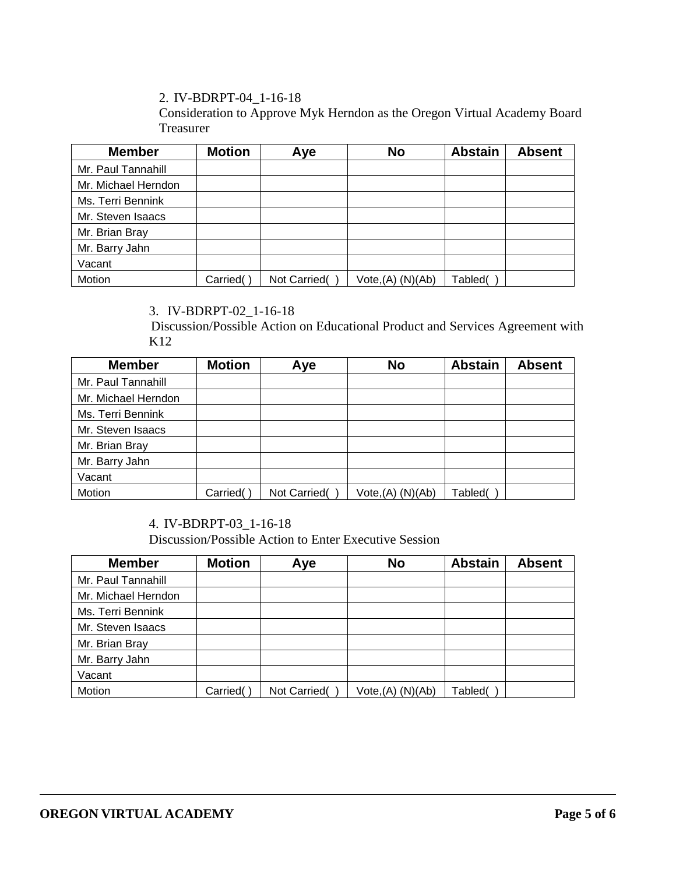2. IV-BDRPT-04\_1-16-18

Consideration to Approve Myk Herndon as the Oregon Virtual Academy Board Treasurer

| <b>Member</b>       | <b>Motion</b> | Aye          | <b>No</b>         | <b>Abstain</b> | <b>Absent</b> |
|---------------------|---------------|--------------|-------------------|----------------|---------------|
| Mr. Paul Tannahill  |               |              |                   |                |               |
| Mr. Michael Herndon |               |              |                   |                |               |
| Ms. Terri Bennink   |               |              |                   |                |               |
| Mr. Steven Isaacs   |               |              |                   |                |               |
| Mr. Brian Bray      |               |              |                   |                |               |
| Mr. Barry Jahn      |               |              |                   |                |               |
| Vacant              |               |              |                   |                |               |
| Motion              | Carried(      | Not Carried( | Vote, (A) (N)(Ab) | Tabled(        |               |

# 3. IV-BDRPT-02\_1-16-18

Discussion/Possible Action on Educational Product and Services Agreement with K12

| <b>Member</b>       | <b>Motion</b> | Aye          | <b>No</b>                     | <b>Abstain</b> | <b>Absent</b> |
|---------------------|---------------|--------------|-------------------------------|----------------|---------------|
| Mr. Paul Tannahill  |               |              |                               |                |               |
| Mr. Michael Herndon |               |              |                               |                |               |
| Ms. Terri Bennink   |               |              |                               |                |               |
| Mr. Steven Isaacs   |               |              |                               |                |               |
| Mr. Brian Bray      |               |              |                               |                |               |
| Mr. Barry Jahn      |               |              |                               |                |               |
| Vacant              |               |              |                               |                |               |
| Motion              | Carried(      | Not Carried( | Vote <sub>1</sub> (A) (N)(Ab) | Tabled(        |               |

# 4. IV-BDRPT-03\_1-16-18

Discussion/Possible Action to Enter Executive Session

| <b>Member</b>       | <b>Motion</b> | Aye          | <b>No</b>         | <b>Abstain</b> | <b>Absent</b> |
|---------------------|---------------|--------------|-------------------|----------------|---------------|
| Mr. Paul Tannahill  |               |              |                   |                |               |
| Mr. Michael Herndon |               |              |                   |                |               |
| Ms. Terri Bennink   |               |              |                   |                |               |
| Mr. Steven Isaacs   |               |              |                   |                |               |
| Mr. Brian Bray      |               |              |                   |                |               |
| Mr. Barry Jahn      |               |              |                   |                |               |
| Vacant              |               |              |                   |                |               |
| Motion              | Carried(      | Not Carried( | Vote, (A) (N)(Ab) | Tabled(        |               |